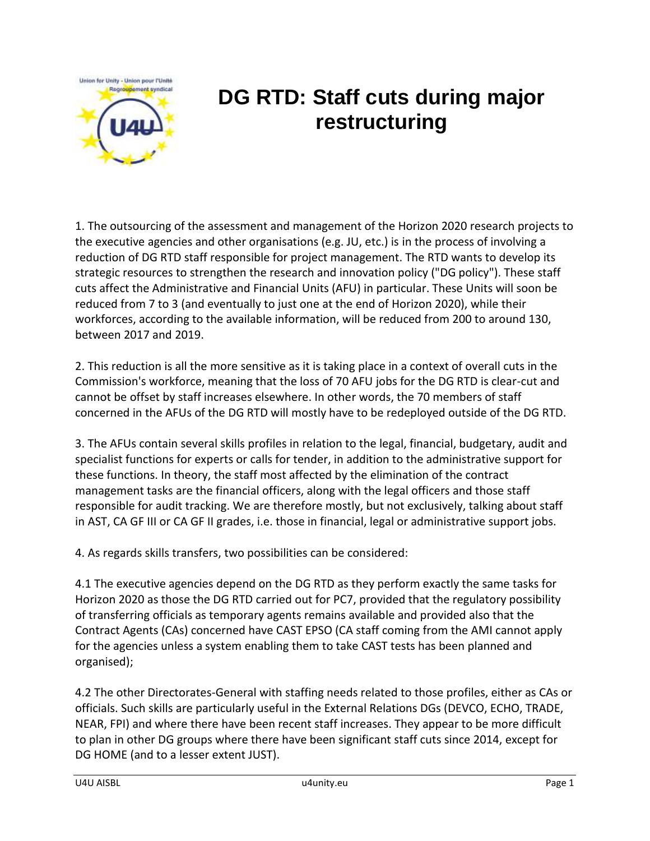

## **DG RTD: Staff cuts during major restructuring**

1. The outsourcing of the assessment and management of the Horizon 2020 research projects to the executive agencies and other organisations (e.g. JU, etc.) is in the process of involving a reduction of DG RTD staff responsible for project management. The RTD wants to develop its strategic resources to strengthen the research and innovation policy ("DG policy"). These staff cuts affect the Administrative and Financial Units (AFU) in particular. These Units will soon be reduced from 7 to 3 (and eventually to just one at the end of Horizon 2020), while their workforces, according to the available information, will be reduced from 200 to around 130, between 2017 and 2019.

2. This reduction is all the more sensitive as it is taking place in a context of overall cuts in the Commission's workforce, meaning that the loss of 70 AFU jobs for the DG RTD is clear-cut and cannot be offset by staff increases elsewhere. In other words, the 70 members of staff concerned in the AFUs of the DG RTD will mostly have to be redeployed outside of the DG RTD.

3. The AFUs contain several skills profiles in relation to the legal, financial, budgetary, audit and specialist functions for experts or calls for tender, in addition to the administrative support for these functions. In theory, the staff most affected by the elimination of the contract management tasks are the financial officers, along with the legal officers and those staff responsible for audit tracking. We are therefore mostly, but not exclusively, talking about staff in AST, CA GF III or CA GF II grades, i.e. those in financial, legal or administrative support jobs.

4. As regards skills transfers, two possibilities can be considered:

4.1 The executive agencies depend on the DG RTD as they perform exactly the same tasks for Horizon 2020 as those the DG RTD carried out for PC7, provided that the regulatory possibility of transferring officials as temporary agents remains available and provided also that the Contract Agents (CAs) concerned have CAST EPSO (CA staff coming from the AMI cannot apply for the agencies unless a system enabling them to take CAST tests has been planned and organised);

4.2 The other Directorates-General with staffing needs related to those profiles, either as CAs or officials. Such skills are particularly useful in the External Relations DGs (DEVCO, ECHO, TRADE, NEAR, FPI) and where there have been recent staff increases. They appear to be more difficult to plan in other DG groups where there have been significant staff cuts since 2014, except for DG HOME (and to a lesser extent JUST).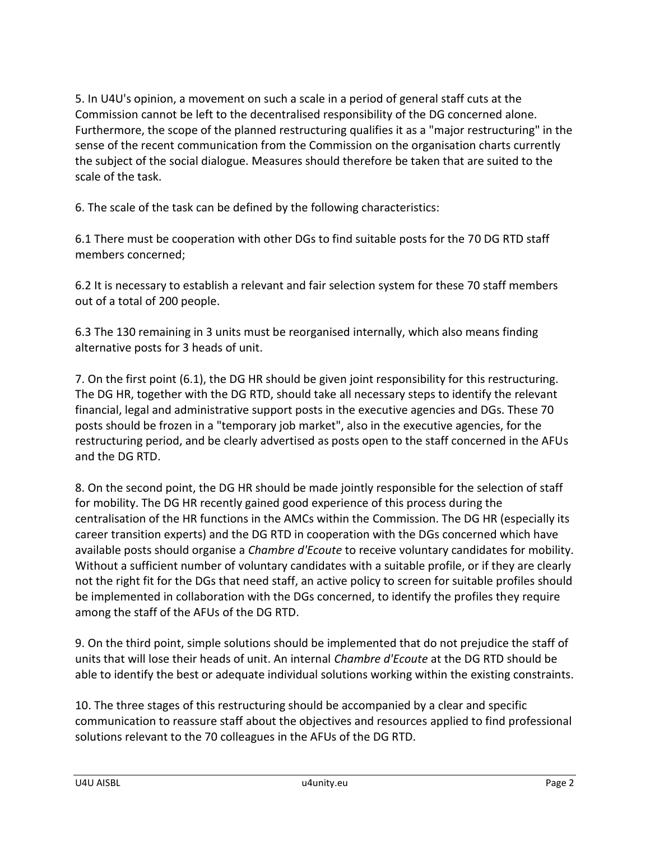5. In U4U's opinion, a movement on such a scale in a period of general staff cuts at the Commission cannot be left to the decentralised responsibility of the DG concerned alone. Furthermore, the scope of the planned restructuring qualifies it as a "major restructuring" in the sense of the recent communication from the Commission on the organisation charts currently the subject of the social dialogue. Measures should therefore be taken that are suited to the scale of the task.

6. The scale of the task can be defined by the following characteristics:

6.1 There must be cooperation with other DGs to find suitable posts for the 70 DG RTD staff members concerned;

6.2 It is necessary to establish a relevant and fair selection system for these 70 staff members out of a total of 200 people.

6.3 The 130 remaining in 3 units must be reorganised internally, which also means finding alternative posts for 3 heads of unit.

7. On the first point (6.1), the DG HR should be given joint responsibility for this restructuring. The DG HR, together with the DG RTD, should take all necessary steps to identify the relevant financial, legal and administrative support posts in the executive agencies and DGs. These 70 posts should be frozen in a "temporary job market", also in the executive agencies, for the restructuring period, and be clearly advertised as posts open to the staff concerned in the AFUs and the DG RTD.

8. On the second point, the DG HR should be made jointly responsible for the selection of staff for mobility. The DG HR recently gained good experience of this process during the centralisation of the HR functions in the AMCs within the Commission. The DG HR (especially its career transition experts) and the DG RTD in cooperation with the DGs concerned which have available posts should organise a *Chambre d'Ecoute* to receive voluntary candidates for mobility. Without a sufficient number of voluntary candidates with a suitable profile, or if they are clearly not the right fit for the DGs that need staff, an active policy to screen for suitable profiles should be implemented in collaboration with the DGs concerned, to identify the profiles they require among the staff of the AFUs of the DG RTD.

9. On the third point, simple solutions should be implemented that do not prejudice the staff of units that will lose their heads of unit. An internal *Chambre d'Ecoute* at the DG RTD should be able to identify the best or adequate individual solutions working within the existing constraints.

10. The three stages of this restructuring should be accompanied by a clear and specific communication to reassure staff about the objectives and resources applied to find professional solutions relevant to the 70 colleagues in the AFUs of the DG RTD.